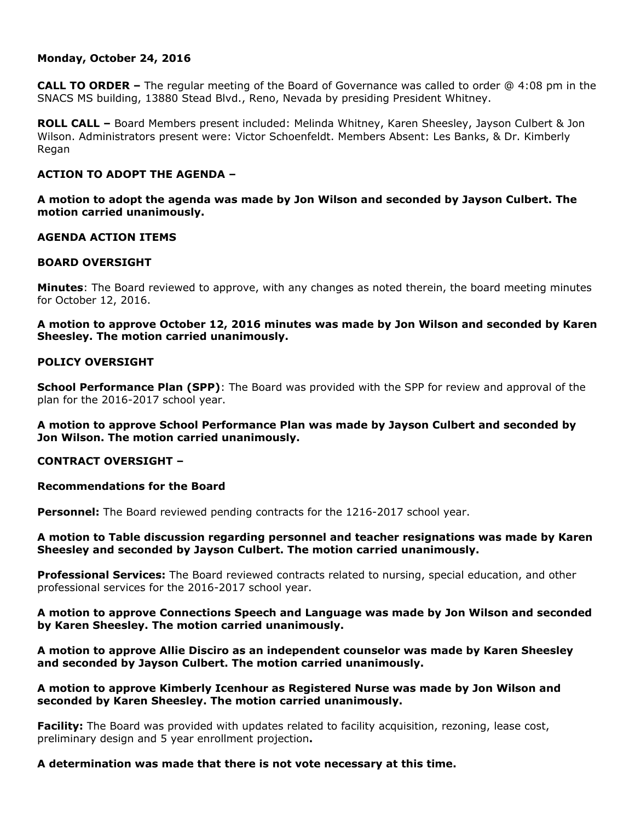## **Monday, October 24, 2016**

**CALL TO ORDER –** The regular meeting of the Board of Governance was called to order @ 4:08 pm in the SNACS MS building, 13880 Stead Blvd., Reno, Nevada by presiding President Whitney.

**ROLL CALL –** Board Members present included: Melinda Whitney, Karen Sheesley, Jayson Culbert & Jon Wilson. Administrators present were: Victor Schoenfeldt. Members Absent: Les Banks, & Dr. Kimberly Regan

# **ACTION TO ADOPT THE AGENDA –**

**A motion to adopt the agenda was made by Jon Wilson and seconded by Jayson Culbert. The motion carried unanimously.** 

## **AGENDA ACTION ITEMS**

## **BOARD OVERSIGHT**

**Minutes**: The Board reviewed to approve, with any changes as noted therein, the board meeting minutes for October 12, 2016.

**A motion to approve October 12, 2016 minutes was made by Jon Wilson and seconded by Karen Sheesley. The motion carried unanimously.**

# **POLICY OVERSIGHT**

**School Performance Plan (SPP)**: The Board was provided with the SPP for review and approval of the plan for the 2016-2017 school year.

# **A motion to approve School Performance Plan was made by Jayson Culbert and seconded by Jon Wilson. The motion carried unanimously.**

#### **CONTRACT OVERSIGHT –**

#### **Recommendations for the Board**

**Personnel:** The Board reviewed pending contracts for the 1216-2017 school year.

## **A motion to Table discussion regarding personnel and teacher resignations was made by Karen Sheesley and seconded by Jayson Culbert. The motion carried unanimously.**

**Professional Services:** The Board reviewed contracts related to nursing, special education, and other professional services for the 2016-2017 school year.

## **A motion to approve Connections Speech and Language was made by Jon Wilson and seconded by Karen Sheesley. The motion carried unanimously.**

**A motion to approve Allie Disciro as an independent counselor was made by Karen Sheesley and seconded by Jayson Culbert. The motion carried unanimously.** 

## **A motion to approve Kimberly Icenhour as Registered Nurse was made by Jon Wilson and seconded by Karen Sheesley. The motion carried unanimously.**

**Facility:** The Board was provided with updates related to facility acquisition, rezoning, lease cost, preliminary design and 5 year enrollment projection**.** 

#### **A determination was made that there is not vote necessary at this time.**